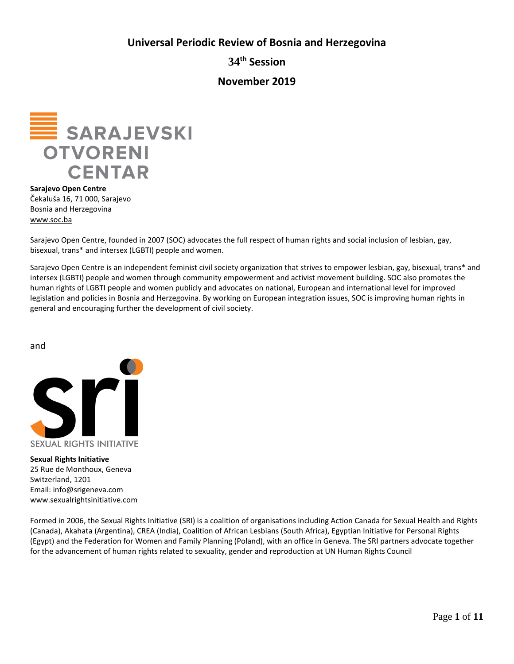**Universal Periodic Review of Bosnia and Herzegovina**

**34th Session**

**November 2019**



**Sarajevo Open Centre** Čekaluša 16, 71 000, Sarajevo Bosnia and Herzegovina [www.soc.ba](http://www.soc.ba/)

Sarajevo Open Centre, founded in 2007 (SOC) advocates the full respect of human rights and social inclusion of lesbian, gay, bisexual, trans\* and intersex (LGBTI) people and women.

Sarajevo Open Centre is an independent feminist civil society organization that strives to empower lesbian, gay, bisexual, trans\* and intersex (LGBTI) people and women through community empowerment and activist movement building. SOC also promotes the human rights of LGBTI people and women publicly and advocates on national, European and international level for improved legislation and policies in Bosnia and Herzegovina. By working on European integration issues, SOC is improving human rights in general and encouraging further the development of civil society.

and



**Sexual Rights Initiative**  25 Rue de Monthoux, Geneva Switzerland, 1201 Email: info@srigeneva.com [www.sexualrightsinitiative.com](http://www.sexualrightsinitiative.com/)

Formed in 2006, the Sexual Rights Initiative (SRI) is a coalition of organisations including Action Canada for Sexual Health and Rights (Canada), Akahata (Argentina), CREA (India), Coalition of African Lesbians (South Africa), Egyptian Initiative for Personal Rights (Egypt) and the Federation for Women and Family Planning (Poland), with an office in Geneva. The SRI partners advocate together for the advancement of human rights related to sexuality, gender and reproduction at UN Human Rights Council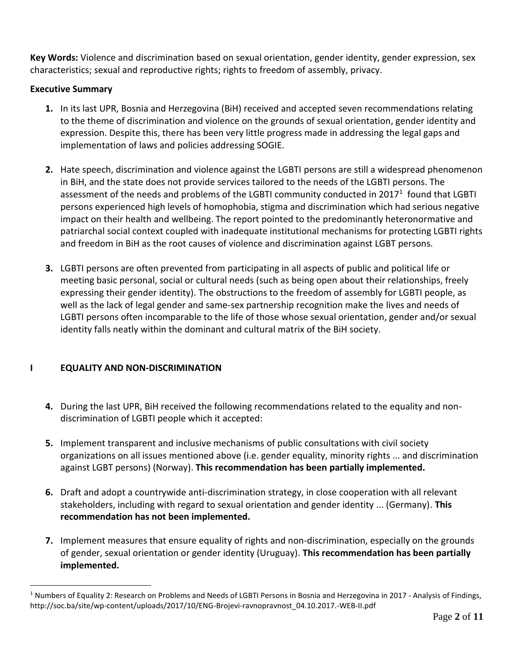**Key Words:** Violence and discrimination based on sexual orientation, gender identity, gender expression, sex characteristics; sexual and reproductive rights; rights to freedom of assembly, privacy.

# **Executive Summary**

- **1.** In its last UPR, Bosnia and Herzegovina (BiH) received and accepted seven recommendations relating to the theme of discrimination and violence on the grounds of sexual orientation, gender identity and expression. Despite this, there has been very little progress made in addressing the legal gaps and implementation of laws and policies addressing SOGIE.
- **2.** Hate speech, discrimination and violence against the LGBTI persons are still a widespread phenomenon in BiH, and the state does not provide services tailored to the needs of the LGBTI persons. The assessment of the needs and problems of the LGBTI community conducted in 2017<sup>1</sup> found that LGBTI persons experienced high levels of homophobia, stigma and discrimination which had serious negative impact on their health and wellbeing. The report pointed to the predominantly heteronormative and patriarchal social context coupled with inadequate institutional mechanisms for protecting LGBTI rights and freedom in BiH as the root causes of violence and discrimination against LGBT persons.
- **3.** LGBTI persons are often prevented from participating in all aspects of public and political life or meeting basic personal, social or cultural needs (such as being open about their relationships, freely expressing their gender identity). The obstructions to the freedom of assembly for LGBTI people, as well as the lack of legal gender and same-sex partnership recognition make the lives and needs of LGBTI persons often incomparable to the life of those whose sexual orientation, gender and/or sexual identity falls neatly within the dominant and cultural matrix of the BiH society.

# **I EQUALITY AND NON-DISCRIMINATION**

 $\overline{a}$ 

- **4.** During the last UPR, BiH received the following recommendations related to the equality and nondiscrimination of LGBTI people which it accepted:
- **5.** Implement transparent and inclusive mechanisms of public consultations with civil society organizations on all issues mentioned above (i.e. gender equality, minority rights ... and discrimination against LGBT persons) (Norway). **This recommendation has been partially implemented.**
- **6.** Draft and adopt a countrywide anti-discrimination strategy, in close cooperation with all relevant stakeholders, including with regard to sexual orientation and gender identity ... (Germany). **This recommendation has not been implemented.**
- **7.** Implement measures that ensure equality of rights and non-discrimination, especially on the grounds of gender, sexual orientation or gender identity (Uruguay). **This recommendation has been partially implemented.**

 $1$  Numbers of Equality 2: Research on Problems and Needs of LGBTI Persons in Bosnia and Herzegovina in 2017 - Analysis of Findings, http://soc.ba/site/wp-content/uploads/2017/10/ENG-Brojevi-ravnopravnost\_04.10.2017.-WEB-II.pdf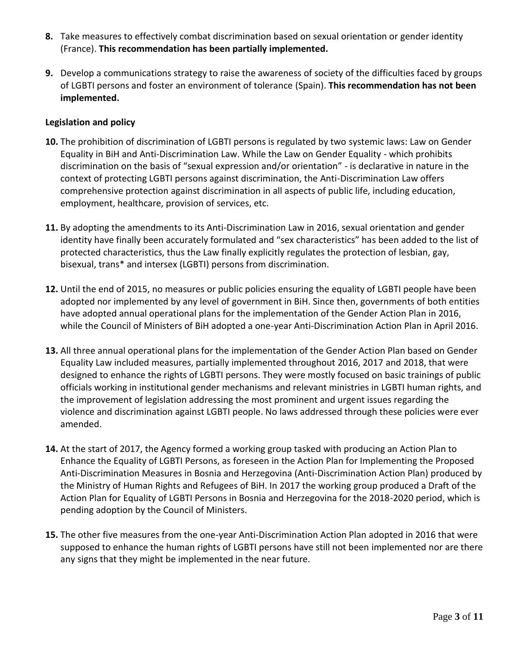- **8.** Take measures to effectively combat discrimination based on sexual orientation or gender identity (France). **This recommendation has been partially implemented.**
- **9.** Develop a communications strategy to raise the awareness of society of the difficulties faced by groups of LGBTI persons and foster an environment of tolerance (Spain). **This recommendation has not been implemented.**

## **Legislation and policy**

- **10.** The prohibition of discrimination of LGBTI persons is regulated by two systemic laws: Law on Gender Equality in BiH and Anti-Discrimination Law. While the Law on Gender Equality - which prohibits discrimination on the basis of "sexual expression and/or orientation" - is declarative in nature in the context of protecting LGBTI persons against discrimination, the Anti-Discrimination Law offers comprehensive protection against discrimination in all aspects of public life, including education, employment, healthcare, provision of services, etc.
- **11.** By adopting the amendments to its Anti-Discrimination Law in 2016, sexual orientation and gender identity have finally been accurately formulated and "sex characteristics" has been added to the list of protected characteristics, thus the Law finally explicitly regulates the protection of lesbian, gay, bisexual, trans\* and intersex (LGBTI) persons from discrimination.
- **12.** Until the end of 2015, no measures or public policies ensuring the equality of LGBTI people have been adopted nor implemented by any level of government in BiH. Since then, governments of both entities have adopted annual operational plans for the implementation of the Gender Action Plan in 2016, while the Council of Ministers of BiH adopted a one-year Anti-Discrimination Action Plan in April 2016.
- **13.** All three annual operational plans for the implementation of the Gender Action Plan based on Gender Equality Law included measures, partially implemented throughout 2016, 2017 and 2018, that were designed to enhance the rights of LGBTI persons. They were mostly focused on basic trainings of public officials working in institutional gender mechanisms and relevant ministries in LGBTI human rights, and the improvement of legislation addressing the most prominent and urgent issues regarding the violence and discrimination against LGBTI people. No laws addressed through these policies were ever amended.
- **14.** At the start of 2017, the Agency formed a working group tasked with producing an Action Plan to Enhance the Equality of LGBTI Persons, as foreseen in the Action Plan for Implementing the Proposed Anti-Discrimination Measures in Bosnia and Herzegovina (Anti-Discrimination Action Plan) produced by the Ministry of Human Rights and Refugees of BiH. In 2017 the working group produced a Draft of the Action Plan for Equality of LGBTI Persons in Bosnia and Herzegovina for the 2018-2020 period, which is pending adoption by the Council of Ministers.
- **15.** The other five measures from the one-year Anti-Discrimination Action Plan adopted in 2016 that were supposed to enhance the human rights of LGBTI persons have still not been implemented nor are there any signs that they might be implemented in the near future.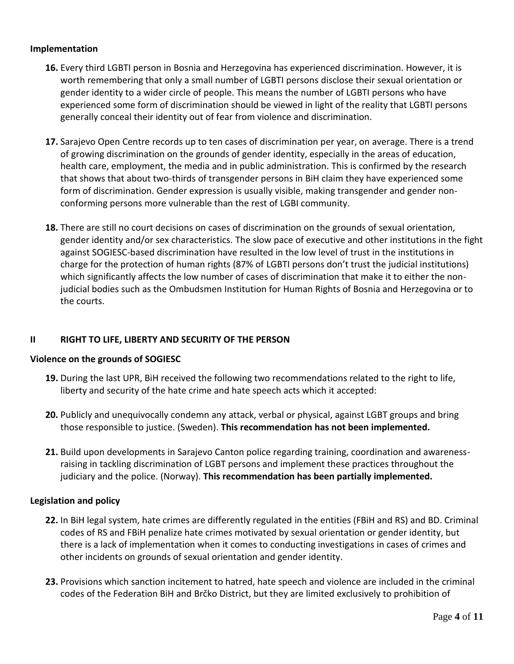### **Implementation**

- **16.** Every third LGBTI person in Bosnia and Herzegovina has experienced discrimination. However, it is worth remembering that only a small number of LGBTI persons disclose their sexual orientation or gender identity to a wider circle of people. This means the number of LGBTI persons who have experienced some form of discrimination should be viewed in light of the reality that LGBTI persons generally conceal their identity out of fear from violence and discrimination.
- **17.** Sarajevo Open Centre records up to ten cases of discrimination per year, on average. There is a trend of growing discrimination on the grounds of gender identity, especially in the areas of education, health care, employment, the media and in public administration. This is confirmed by the research that shows that about two-thirds of transgender persons in BiH claim they have experienced some form of discrimination. Gender expression is usually visible, making transgender and gender nonconforming persons more vulnerable than the rest of LGBI community.
- **18.** There are still no court decisions on cases of discrimination on the grounds of sexual orientation, gender identity and/or sex characteristics. The slow pace of executive and other institutions in the fight against SOGIESC-based discrimination have resulted in the low level of trust in the institutions in charge for the protection of human rights (87% of LGBTI persons don't trust the judicial institutions) which significantly affects the low number of cases of discrimination that make it to either the nonjudicial bodies such as the Ombudsmen Institution for Human Rights of Bosnia and Herzegovina or to the courts.

## **II RIGHT TO LIFE, LIBERTY AND SECURITY OF THE PERSON**

### **Violence on the grounds of SOGIESC**

- **19.** During the last UPR, BiH received the following two recommendations related to the right to life, liberty and security of the hate crime and hate speech acts which it accepted:
- **20.** Publicly and unequivocally condemn any attack, verbal or physical, against LGBT groups and bring those responsible to justice. (Sweden). **This recommendation has not been implemented.**
- **21.** Build upon developments in Sarajevo Canton police regarding training, coordination and awarenessraising in tackling discrimination of LGBT persons and implement these practices throughout the judiciary and the police. (Norway). **This recommendation has been partially implemented.**

### **Legislation and policy**

- **22.** In BiH legal system, hate crimes are differently regulated in the entities (FBiH and RS) and BD. Criminal codes of RS and FBiH penalize hate crimes motivated by sexual orientation or gender identity, but there is a lack of implementation when it comes to conducting investigations in cases of crimes and other incidents on grounds of sexual orientation and gender identity.
- **23.** Provisions which sanction incitement to hatred, hate speech and violence are included in the criminal codes of the Federation BiH and Brčko District, but they are limited exclusively to prohibition of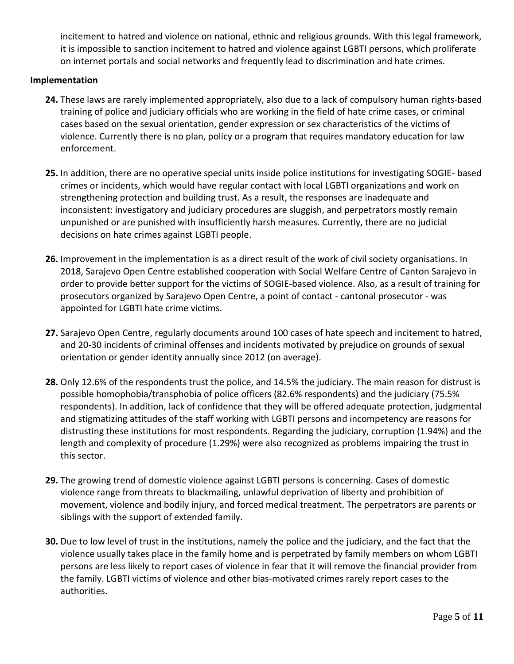incitement to hatred and violence on national, ethnic and religious grounds. With this legal framework, it is impossible to sanction incitement to hatred and violence against LGBTI persons, which proliferate on internet portals and social networks and frequently lead to discrimination and hate crimes.

## **Implementation**

- **24.** These laws are rarely implemented appropriately, also due to a lack of compulsory human rights-based training of police and judiciary officials who are working in the field of hate crime cases, or criminal cases based on the sexual orientation, gender expression or sex characteristics of the victims of violence. Currently there is no plan, policy or a program that requires mandatory education for law enforcement.
- **25.** In addition, there are no operative special units inside police institutions for investigating SOGIE- based crimes or incidents, which would have regular contact with local LGBTI organizations and work on strengthening protection and building trust. As a result, the responses are inadequate and inconsistent: investigatory and judiciary procedures are sluggish, and perpetrators mostly remain unpunished or are punished with insufficiently harsh measures. Currently, there are no judicial decisions on hate crimes against LGBTI people.
- **26.** Improvement in the implementation is as a direct result of the work of civil society organisations. In 2018, Sarajevo Open Centre established cooperation with Social Welfare Centre of Canton Sarajevo in order to provide better support for the victims of SOGIE-based violence. Also, as a result of training for prosecutors organized by Sarajevo Open Centre, a point of contact - cantonal prosecutor - was appointed for LGBTI hate crime victims.
- **27.** Sarajevo Open Centre, regularly documents around 100 cases of hate speech and incitement to hatred, and 20-30 incidents of criminal offenses and incidents motivated by prejudice on grounds of sexual orientation or gender identity annually since 2012 (on average).
- **28.** Only 12.6% of the respondents trust the police, and 14.5% the judiciary. The main reason for distrust is possible homophobia/transphobia of police officers (82.6% respondents) and the judiciary (75.5% respondents). In addition, lack of confidence that they will be offered adequate protection, judgmental and stigmatizing attitudes of the staff working with LGBTI persons and incompetency are reasons for distrusting these institutions for most respondents. Regarding the judiciary, corruption (1.94%) and the length and complexity of procedure (1.29%) were also recognized as problems impairing the trust in this sector.
- **29.** The growing trend of domestic violence against LGBTI persons is concerning. Cases of domestic violence range from threats to blackmailing, unlawful deprivation of liberty and prohibition of movement, violence and bodily injury, and forced medical treatment. The perpetrators are parents or siblings with the support of extended family.
- **30.** Due to low level of trust in the institutions, namely the police and the judiciary, and the fact that the violence usually takes place in the family home and is perpetrated by family members on whom LGBTI persons are less likely to report cases of violence in fear that it will remove the financial provider from the family. LGBTI victims of violence and other bias-motivated crimes rarely report cases to the authorities.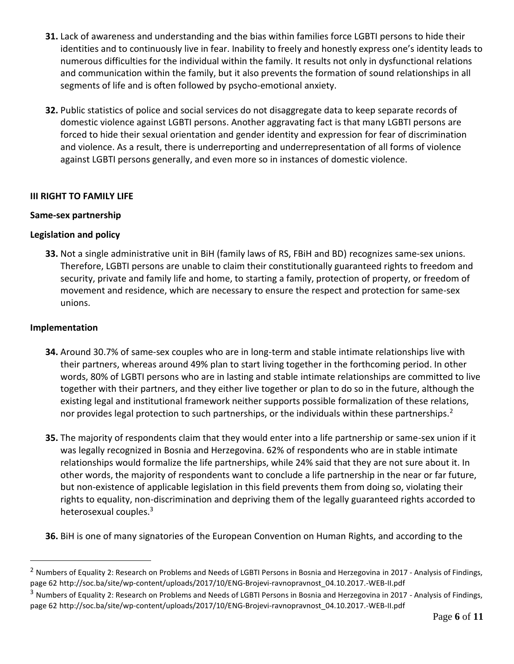- **31.** Lack of awareness and understanding and the bias within families force LGBTI persons to hide their identities and to continuously live in fear. Inability to freely and honestly express one's identity leads to numerous difficulties for the individual within the family. It results not only in dysfunctional relations and communication within the family, but it also prevents the formation of sound relationships in all segments of life and is often followed by psycho-emotional anxiety.
- **32.** Public statistics of police and social services do not disaggregate data to keep separate records of domestic violence against LGBTI persons. Another aggravating fact is that many LGBTI persons are forced to hide their sexual orientation and gender identity and expression for fear of discrimination and violence. As a result, there is underreporting and underrepresentation of all forms of violence against LGBTI persons generally, and even more so in instances of domestic violence.

## **III RIGHT TO FAMILY LIFE**

## **Same-sex partnership**

## **Legislation and policy**

**33.** Not a single administrative unit in BiH (family laws of RS, FBiH and BD) recognizes same-sex unions. Therefore, LGBTI persons are unable to claim their constitutionally guaranteed rights to freedom and security, private and family life and home, to starting a family, protection of property, or freedom of movement and residence, which are necessary to ensure the respect and protection for same-sex unions.

## **Implementation**

 $\overline{a}$ 

- **34.** Around 30.7% of same-sex couples who are in long-term and stable intimate relationships live with their partners, whereas around 49% plan to start living together in the forthcoming period. In other words, 80% of LGBTI persons who are in lasting and stable intimate relationships are committed to live together with their partners, and they either live together or plan to do so in the future, although the existing legal and institutional framework neither supports possible formalization of these relations, nor provides legal protection to such partnerships, or the individuals within these partnerships.<sup>2</sup>
- **35.** The majority of respondents claim that they would enter into a life partnership or same-sex union if it was legally recognized in Bosnia and Herzegovina. 62% of respondents who are in stable intimate relationships would formalize the life partnerships, while 24% said that they are not sure about it. In other words, the majority of respondents want to conclude a life partnership in the near or far future, but non-existence of applicable legislation in this field prevents them from doing so, violating their rights to equality, non-discrimination and depriving them of the legally guaranteed rights accorded to heterosexual couples.<sup>3</sup>
- **36.** BiH is one of many signatories of the European Convention on Human Rights, and according to the

 $^2$  Numbers of Equality 2: Research on Problems and Needs of LGBTI Persons in Bosnia and Herzegovina in 2017 - Analysis of Findings, page 62 http://soc.ba/site/wp-content/uploads/2017/10/ENG-Brojevi-ravnopravnost\_04.10.2017.-WEB-II.pdf

<sup>&</sup>lt;sup>3</sup> Numbers of Equality 2: Research on Problems and Needs of LGBTI Persons in Bosnia and Herzegovina in 2017 - Analysis of Findings, page 62 http://soc.ba/site/wp-content/uploads/2017/10/ENG-Brojevi-ravnopravnost\_04.10.2017.-WEB-II.pdf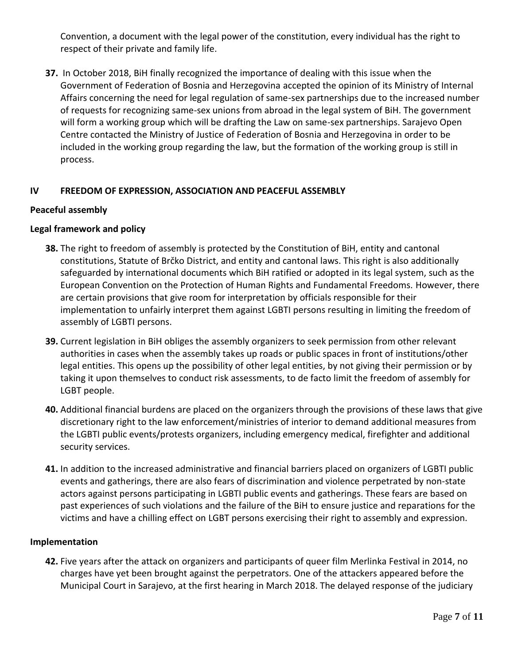Convention, a document with the legal power of the constitution, every individual has the right to respect of their private and family life.

**37.** In October 2018, BiH finally recognized the importance of dealing with this issue when the Government of Federation of Bosnia and Herzegovina accepted the opinion of its Ministry of Internal Affairs concerning the need for legal regulation of same-sex partnerships due to the increased number of requests for recognizing same-sex unions from abroad in the legal system of BiH. The government will form a working group which will be drafting the Law on same-sex partnerships. Sarajevo Open Centre contacted the Ministry of Justice of Federation of Bosnia and Herzegovina in order to be included in the working group regarding the law, but the formation of the working group is still in process.

# **IV FREEDOM OF EXPRESSION, ASSOCIATION AND PEACEFUL ASSEMBLY**

## **Peaceful assembly**

## **Legal framework and policy**

- **38.** The right to freedom of assembly is protected by the Constitution of BiH, entity and cantonal constitutions, Statute of Brčko District, and entity and cantonal laws. This right is also additionally safeguarded by international documents which BiH ratified or adopted in its legal system, such as the European Convention on the Protection of Human Rights and Fundamental Freedoms. However, there are certain provisions that give room for interpretation by officials responsible for their implementation to unfairly interpret them against LGBTI persons resulting in limiting the freedom of assembly of LGBTI persons.
- **39.** Current legislation in BiH obliges the assembly organizers to seek permission from other relevant authorities in cases when the assembly takes up roads or public spaces in front of institutions/other legal entities. This opens up the possibility of other legal entities, by not giving their permission or by taking it upon themselves to conduct risk assessments, to de facto limit the freedom of assembly for LGBT people.
- **40.** Additional financial burdens are placed on the organizers through the provisions of these laws that give discretionary right to the law enforcement/ministries of interior to demand additional measures from the LGBTI public events/protests organizers, including emergency medical, firefighter and additional security services.
- **41.** In addition to the increased administrative and financial barriers placed on organizers of LGBTI public events and gatherings, there are also fears of discrimination and violence perpetrated by non-state actors against persons participating in LGBTI public events and gatherings. These fears are based on past experiences of such violations and the failure of the BiH to ensure justice and reparations for the victims and have a chilling effect on LGBT persons exercising their right to assembly and expression.

### **Implementation**

**42.** Five years after the attack on organizers and participants of queer film Merlinka Festival in 2014, no charges have yet been brought against the perpetrators. One of the attackers appeared before the Municipal Court in Sarajevo, at the first hearing in March 2018. The delayed response of the judiciary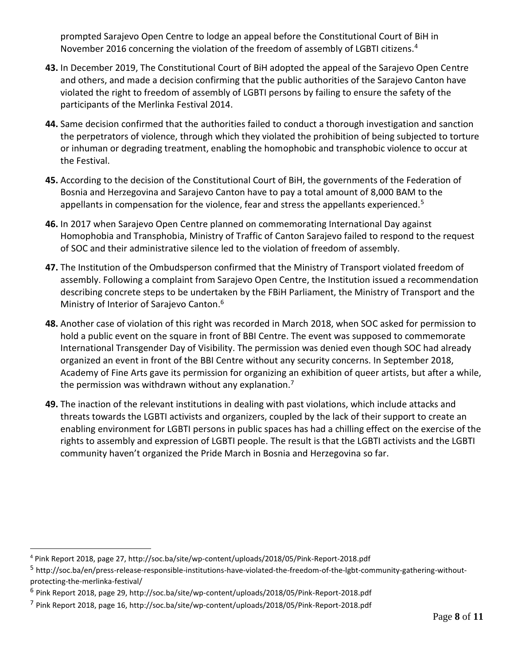prompted Sarajevo Open Centre to lodge an appeal before the Constitutional Court of BiH in November 2016 concerning the violation of the freedom of assembly of LGBTI citizens.<sup>4</sup>

- **43.** In December 2019, The Constitutional Court of BiH adopted the appeal of the Sarajevo Open Centre and others, and made a decision confirming that the public authorities of the Sarajevo Canton have violated the right to freedom of assembly of LGBTI persons by failing to ensure the safety of the participants of the Merlinka Festival 2014.
- **44.** Same decision confirmed that the authorities failed to conduct a thorough investigation and sanction the perpetrators of violence, through which they violated the prohibition of being subjected to torture or inhuman or degrading treatment, enabling the homophobic and transphobic violence to occur at the Festival.
- **45.** According to the decision of the Constitutional Court of BiH, the governments of the Federation of Bosnia and Herzegovina and Sarajevo Canton have to pay a total amount of 8,000 BAM to the appellants in compensation for the violence, fear and stress the appellants experienced.<sup>5</sup>
- **46.** In 2017 when Sarajevo Open Centre planned on commemorating International Day against Homophobia and Transphobia, Ministry of Traffic of Canton Sarajevo failed to respond to the request of SOC and their administrative silence led to the violation of freedom of assembly.
- **47.** The Institution of the Ombudsperson confirmed that the Ministry of Transport violated freedom of assembly. Following a complaint from Sarajevo Open Centre, the Institution issued a recommendation describing concrete steps to be undertaken by the FBiH Parliament, the Ministry of Transport and the Ministry of Interior of Sarajevo Canton.<sup>6</sup>
- **48.** Another case of violation of this right was recorded in March 2018, when SOC asked for permission to hold a public event on the square in front of BBI Centre. The event was supposed to commemorate International Transgender Day of Visibility. The permission was denied even though SOC had already organized an event in front of the BBI Centre without any security concerns. In September 2018, Academy of Fine Arts gave its permission for organizing an exhibition of queer artists, but after a while, the permission was withdrawn without any explanation.<sup>7</sup>
- **49.** The inaction of the relevant institutions in dealing with past violations, which include attacks and threats towards the LGBTI activists and organizers, coupled by the lack of their support to create an enabling environment for LGBTI persons in public spaces has had a chilling effect on the exercise of the rights to assembly and expression of LGBTI people. The result is that the LGBTI activists and the LGBTI community haven't organized the Pride March in Bosnia and Herzegovina so far.

 $\overline{a}$ 

<sup>4</sup> Pink Report 2018, page 27, http://soc.ba/site/wp-content/uploads/2018/05/Pink-Report-2018.pdf

<sup>&</sup>lt;sup>5</sup> http://soc.ba/en/press-release-responsible-institutions-have-violated-the-freedom-of-the-lgbt-community-gathering-withoutprotecting-the-merlinka-festival/

<sup>&</sup>lt;sup>6</sup> Pink Report 2018, page 29, http://soc.ba/site/wp-content/uploads/2018/05/Pink-Report-2018.pdf

<sup>&</sup>lt;sup>7</sup> Pink Report 2018, page 16, http://soc.ba/site/wp-content/uploads/2018/05/Pink-Report-2018.pdf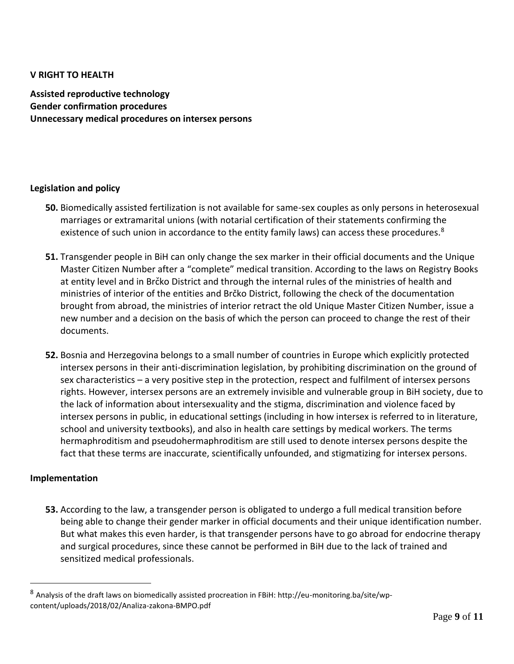## **V RIGHT TO HEALTH**

**Assisted reproductive technology Gender confirmation procedures Unnecessary medical procedures on intersex persons**

### **Legislation and policy**

- **50.** Biomedically assisted fertilization is not available for same-sex couples as only persons in heterosexual marriages or extramarital unions (with notarial certification of their statements confirming the existence of such union in accordance to the entity family laws) can access these procedures. $8$
- **51.** Transgender people in BiH can only change the sex marker in their official documents and the Unique Master Citizen Number after a "complete" medical transition. According to the laws on Registry Books at entity level and in Brčko District and through the internal rules of the ministries of health and ministries of interior of the entities and Brčko District, following the check of the documentation brought from abroad, the ministries of interior retract the old Unique Master Citizen Number, issue a new number and a decision on the basis of which the person can proceed to change the rest of their documents.
- **52.** Bosnia and Herzegovina belongs to a small number of countries in Europe which explicitly protected intersex persons in their anti-discrimination legislation, by prohibiting discrimination on the ground of sex characteristics – a very positive step in the protection, respect and fulfilment of intersex persons rights. However, intersex persons are an extremely invisible and vulnerable group in BiH society, due to the lack of information about intersexuality and the stigma, discrimination and violence faced by intersex persons in public, in educational settings (including in how intersex is referred to in literature, school and university textbooks), and also in health care settings by medical workers. The terms hermaphroditism and pseudohermaphroditism are still used to denote intersex persons despite the fact that these terms are inaccurate, scientifically unfounded, and stigmatizing for intersex persons.

### **Implementation**

 $\overline{a}$ 

**53.** According to the law, a transgender person is obligated to undergo a full medical transition before being able to change their gender marker in official documents and their unique identification number. But what makes this even harder, is that transgender persons have to go abroad for endocrine therapy and surgical procedures, since these cannot be performed in BiH due to the lack of trained and sensitized medical professionals.

<sup>8</sup> Analysis of the draft laws on biomedically assisted procreation in FBiH: http://eu-monitoring.ba/site/wpcontent/uploads/2018/02/Analiza-zakona-BMPO.pdf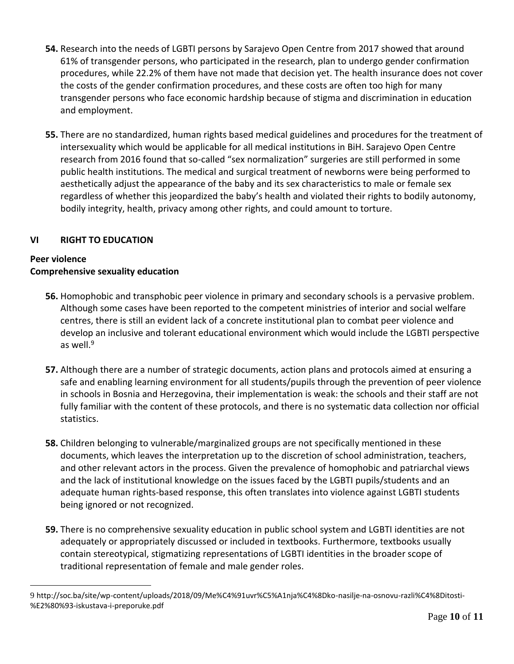- **54.** Research into the needs of LGBTI persons by Sarajevo Open Centre from 2017 showed that around 61% of transgender persons, who participated in the research, plan to undergo gender confirmation procedures, while 22.2% of them have not made that decision yet. The health insurance does not cover the costs of the gender confirmation procedures, and these costs are often too high for many transgender persons who face economic hardship because of stigma and discrimination in education and employment.
- **55.** There are no standardized, human rights based medical guidelines and procedures for the treatment of intersexuality which would be applicable for all medical institutions in BiH. Sarajevo Open Centre research from 2016 found that so-called "sex normalization" surgeries are still performed in some public health institutions. The medical and surgical treatment of newborns were being performed to aesthetically adjust the appearance of the baby and its sex characteristics to male or female sex regardless of whether this jeopardized the baby's health and violated their rights to bodily autonomy, bodily integrity, health, privacy among other rights, and could amount to torture.

# **VI RIGHT TO EDUCATION**

# **Peer violence Comprehensive sexuality education**

- **56.** Homophobic and transphobic peer violence in primary and secondary schools is a pervasive problem. Although some cases have been reported to the competent ministries of interior and social welfare centres, there is still an evident lack of a concrete institutional plan to combat peer violence and develop an inclusive and tolerant educational environment which would include the LGBTI perspective as well. $9$
- **57.** Although there are a number of strategic documents, action plans and protocols aimed at ensuring a safe and enabling learning environment for all students/pupils through the prevention of peer violence in schools in Bosnia and Herzegovina, their implementation is weak: the schools and their staff are not fully familiar with the content of these protocols, and there is no systematic data collection nor official statistics.
- **58.** Children belonging to vulnerable/marginalized groups are not specifically mentioned in these documents, which leaves the interpretation up to the discretion of school administration, teachers, and other relevant actors in the process. Given the prevalence of homophobic and patriarchal views and the lack of institutional knowledge on the issues faced by the LGBTI pupils/students and an adequate human rights-based response, this often translates into violence against LGBTI students being ignored or not recognized.
- **59.** There is no comprehensive sexuality education in public school system and LGBTI identities are not adequately or appropriately discussed or included in textbooks. Furthermore, textbooks usually contain stereotypical, stigmatizing representations of LGBTI identities in the broader scope of traditional representation of female and male gender roles.

 $\overline{a}$ 9 http://soc.ba/site/wp-content/uploads/2018/09/Me%C4%91uvr%C5%A1nja%C4%8Dko-nasilje-na-osnovu-razli%C4%8Ditosti- %E2%80%93-iskustava-i-preporuke.pdf